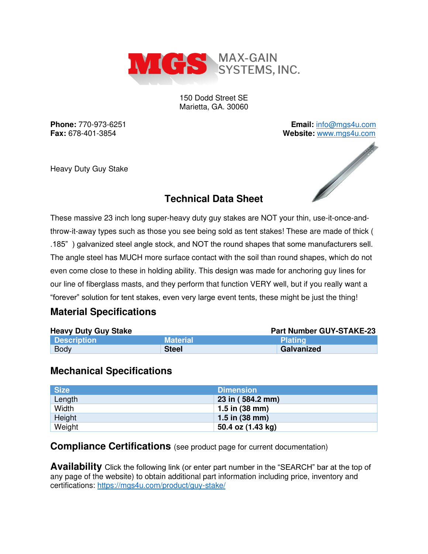

150 Dodd Street SE Marietta, GA. 30060

**Phone:** 770-973-6251 **Email:** [info@mgs4u.com](mailto:info@mgs4u.com)

Heavy Duty Guy Stake



## **Technical Data Sheet**

These massive 23 inch long super-heavy duty guy stakes are NOT your thin, use-it-once-andthrow-it-away types such as those you see being sold as tent stakes! These are made of thick ( .185" ) galvanized steel angle stock, and NOT the round shapes that some manufacturers sell. The angle steel has MUCH more surface contact with the soil than round shapes, which do not even come close to these in holding ability. This design was made for anchoring guy lines for our line of fiberglass masts, and they perform that function VERY well, but if you really want a "forever" solution for tent stakes, even very large event tents, these might be just the thing!

## **Material Specifications**

| <b>Heavy Duty Guy Stake</b> |                 | <b>Part Number GUY-STAKE-23</b> |
|-----------------------------|-----------------|---------------------------------|
| <b>Description</b>          | <b>Material</b> | <b>Plating</b>                  |
| Body                        | <b>Steel</b>    | Galvanized                      |

## **Mechanical Specifications**

| <b>Size</b> | <b>Dimension</b>         |
|-------------|--------------------------|
| Length      | 23 in (584.2 mm)         |
| Width       | 1.5 in $(38 \text{ mm})$ |
| Height      | $1.5$ in (38 mm)         |
| Weight      | 50.4 oz (1.43 kg)        |

## **Compliance Certifications** (see product page for current documentation)

**Availability** Click the following link (or enter part number in the "SEARCH" bar at the top of any page of the website) to obtain additional part information including price, inventory and certifications:<https://mgs4u.com/product/guy-stake/>